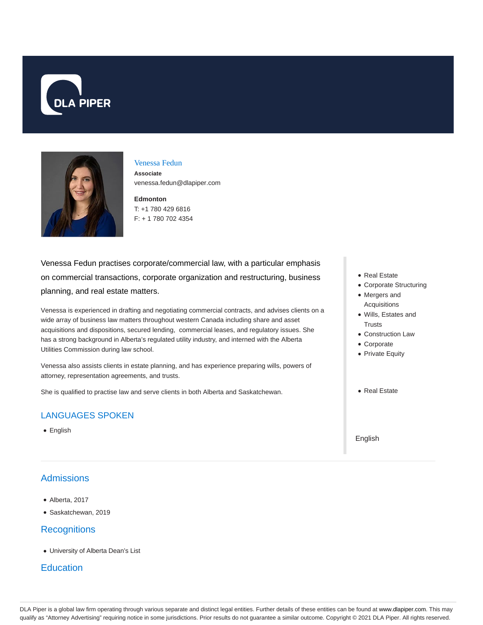



#### Venessa Fedun

**Associate** venessa.fedun@dlapiper.com

#### **Edmonton** T: +1 780 429 6816 F: + 1 780 702 4354

Venessa Fedun practises corporate/commercial law, with a particular emphasis on commercial transactions, corporate organization and restructuring, business planning, and real estate matters.

Venessa is experienced in drafting and negotiating commercial contracts, and advises clients on a wide array of business law matters throughout western Canada including share and asset acquisitions and dispositions, secured lending, commercial leases, and regulatory issues. She has a strong background in Alberta's regulated utility industry, and interned with the Alberta Utilities Commission during law school.

Venessa also assists clients in estate planning, and has experience preparing wills, powers of attorney, representation agreements, and trusts.

She is qualified to practise law and serve clients in both Alberta and Saskatchewan.

### LANGUAGES SPOKEN

• English

## **Admissions**

- Alberta, 2017
- Saskatchewan, 2019

### **Recognitions**

University of Alberta Dean's List

### **Education**

- Real Estate
- Corporate Structuring
- Mergers and Acquisitions
- Wills, Estates and **Trusts**
- Construction Law
- Corporate
- Private Equity
- Real Estate

English